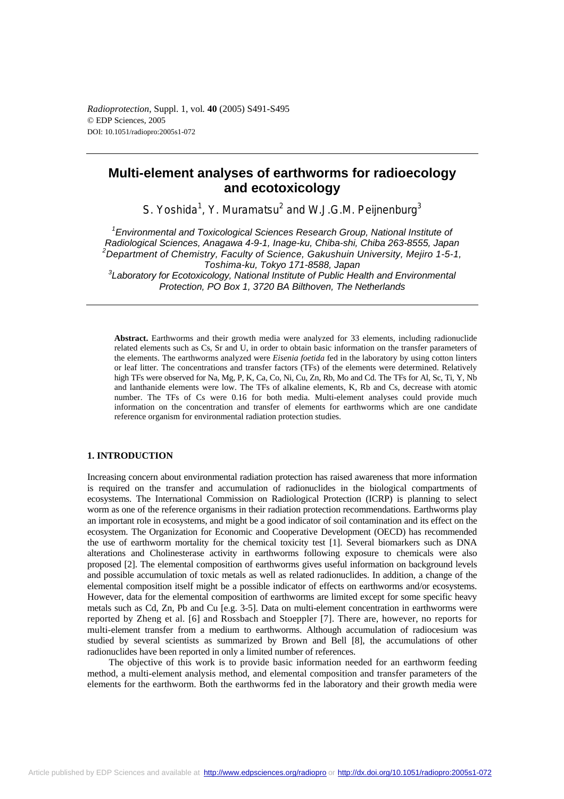*Radioprotection*, Suppl. 1, vol*.* **40** (2005) S491-S495 © EDP Sciences, 2005 DOI: 10.1051/radiopro:2005s1-072

# **Multi-element analyses of earthworms for radioecology and ecotoxicology**

S. Yoshida<sup>1</sup>, Y. Muramatsu<sup>2</sup> and W.J.G.M. Peijnenburg<sup>3</sup>

<sup>1</sup> Environmental and Toxicological Sciences Research Group, National Institute of *Radiological Sciences, Anagawa 4-9-1, Inage-ku, Chiba-shi, Chiba 263-8555, Japan 2 Department of Chemistry, Faculty of Science, Gakushuin University, Mejiro 1-5-1, Toshima-ku, Tokyo 171-8588, Japan 3 Laboratory for Ecotoxicology, National Institute of Public Health and Environmental Protection, PO Box 1, 3720 BA Bilthoven, The Netherlands* 

**Abstract.** Earthworms and their growth media were analyzed for 33 elements, including radionuclide related elements such as Cs, Sr and U, in order to obtain basic information on the transfer parameters of the elements. The earthworms analyzed were *Eisenia foetida* fed in the laboratory by using cotton linters or leaf litter. The concentrations and transfer factors (TFs) of the elements were determined. Relatively high TFs were observed for Na, Mg, P, K, Ca, Co, Ni, Cu, Zn, Rb, Mo and Cd. The TFs for Al, Sc, Ti, Y, Nb and lanthanide elements were low. The TFs of alkaline elements, K, Rb and Cs, decrease with atomic number. The TFs of Cs were 0.16 for both media. Multi-element analyses could provide much information on the concentration and transfer of elements for earthworms which are one candidate reference organism for environmental radiation protection studies.

# **1. INTRODUCTION**

Increasing concern about environmental radiation protection has raised awareness that more information is required on the transfer and accumulation of radionuclides in the biological compartments of ecosystems. The International Commission on Radiological Protection (ICRP) is planning to select worm as one of the reference organisms in their radiation protection recommendations. Earthworms play an important role in ecosystems, and might be a good indicator of soil contamination and its effect on the ecosystem. The Organization for Economic and Cooperative Development (OECD) has recommended the use of earthworm mortality for the chemical toxicity test [1]. Several biomarkers such as DNA alterations and Cholinesterase activity in earthworms following exposure to chemicals were also proposed [2]. The elemental composition of earthworms gives useful information on background levels and possible accumulation of toxic metals as well as related radionuclides. In addition, a change of the elemental composition itself might be a possible indicator of effects on earthworms and/or ecosystems. However, data for the elemental composition of earthworms are limited except for some specific heavy metals such as Cd, Zn, Pb and Cu [e.g. 3-5]. Data on multi-element concentration in earthworms were reported by Zheng et al. [6] and Rossbach and Stoeppler [7]. There are, however, no reports for multi-element transfer from a medium to earthworms. Although accumulation of radiocesium was studied by several scientists as summarized by Brown and Bell [8], the accumulations of other radionuclides have been reported in only a limited number of references.

The objective of this work is to provide basic information needed for an earthworm feeding method, a multi-element analysis method, and elemental composition and transfer parameters of the elements for the earthworm. Both the earthworms fed in the laboratory and their growth media were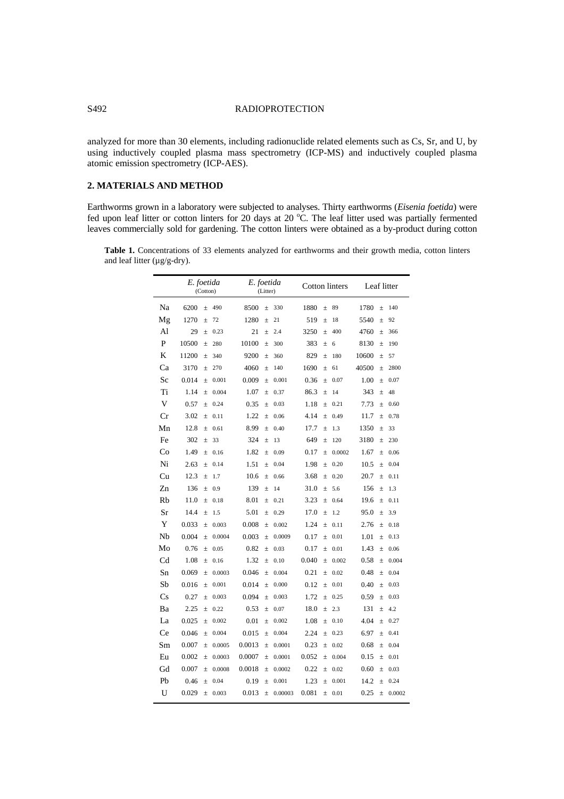# S492 RADIOPROTECTION

analyzed for more than 30 elements, including radionuclide related elements such as Cs, Sr, and U, by using inductively coupled plasma mass spectrometry (ICP-MS) and inductively coupled plasma atomic emission spectrometry (ICP-AES).

# **2. MATERIALS AND METHOD**

Earthworms grown in a laboratory were subjected to analyses. Thirty earthworms (*Eisenia foetida*) were fed upon leaf litter or cotton linters for 20 days at 20 °C. The leaf litter used was partially fermented leaves commercially sold for gardening. The cotton linters were obtained as a by-product during cotton

**Table 1.** Concentrations of 33 elements analyzed for earthworms and their growth media, cotton linters and leaf litter  $(\mu g/g-dry)$ .

|    | E. foetida<br>(Cotton) | E. foetida<br>(Litter) | Cotton linters    | Leaf litter       |
|----|------------------------|------------------------|-------------------|-------------------|
| Na | 6200                   | 8500                   | 1880              | 1780              |
|    | 490                    | 330                    | 89                | 140               |
|    | $\pm$                  | $\pm$                  | $\pm$             | $\pm$             |
| Mg | 1270                   | 1280                   | 519               | 5540              |
|    | 72                     | 21                     | 18                | 92                |
|    | $\pm$                  | $\pm$                  | $\pm$             | $\pm$             |
| Al | 29                     | 21                     | 3250              | 4760              |
|    | 0.23                   | 2.4                    | 400               | 366               |
|    | $\pm$                  | $\pm$                  | $\pm$             | $\pm$             |
| P  | 10500                  | 10100                  | 383               | 8130              |
|    | 280                    | 300                    | $\pm$             | 190               |
|    | $^{+}$                 | $\pm$                  | 6                 | $\pm$             |
| K  | 11200                  | 9200                   | 829               | 10600             |
|    | 340                    | 360                    | 180               | $\pm$             |
|    | $\pm$                  | $\pm$                  | $\pm$             | 57                |
| Ca | 3170                   | 4060                   | 1690              | 40500             |
|    | 270                    | 140                    | $\pm$             | 2800              |
|    | $\pm$                  | $\pm$                  | 61                | $\pm$             |
| Sc | 0.014                  | 0.009                  | 0.36              | 1.00              |
|    | 0.001                  | 0.001                  | 0.07              | 0.07              |
|    | $\pm$                  | $\pm$                  | 土                 | $\pm$             |
| Ti | 1.14                   | 1.07                   | 86.3              | 343               |
|    | 0.004                  | 0.37                   | $\pm$             | 48                |
|    | $^{+}$                 | $\pm$                  | 14                | $\pm$             |
| V  | 0.57                   | 0.35                   | 1.18              | 7.73              |
|    | 0.24                   | 0.03                   | 0.21              | 0.60              |
|    | $\qquad \qquad +$      | $\pm$                  | $\pm$             | $\pm$             |
| Cr | 3.02                   | 1.22                   | 4.14              | 11.7              |
|    | 0.11                   | 0.06                   | 0.49              | 0.78              |
|    | $^{+}$                 | $^{+}$                 | $^{+}$            | $^{+}$            |
| Mn | 12.8                   | 8.99                   | 17.7              | 1350              |
|    | 0.61                   | 0.40                   | 1.3               | 33                |
|    | $^{+}$                 | $^{+}$                 | $\pm$             | $\pm$             |
| Fe | 302                    | 324                    | 649               | 3180              |
|    | 33                     | 13                     | 120               | 230               |
|    | $\qquad \qquad +$      | $^{+}$                 | $^{+}$            | $\pm$             |
| Co | 1.49                   | 1.82                   | 0.17              | 1.67              |
|    | 0.16                   | 0.09                   | 0.0002            | 0.06              |
|    | $\qquad \qquad +$      | $\! + \!\!\!$          | $\pm$             | $\pm$             |
| Ni | 2.63                   | 1.51                   | 1.98              | 10.5              |
|    | 0.14                   | 0.04                   | 0.20              | 0.04              |
|    | $\pm$                  | $\pm$                  | $\pm$             | $\pm$             |
| Cu | 12.3                   | 10.6                   | 3.68              | 20.7              |
|    | $\pm$                  | 0.66                   | $\pm$             | 0.11              |
|    | 1.7                    | $\pm$                  | 0.20              | $\pm$             |
| Zn | 136                    | 139                    | 31.0              | 156               |
|    | 0.9                    | 14                     | 5.6               | 1.3               |
|    | $\pm$                  | $\pm$                  | $\pm$             | $\pm$             |
| Rb | 11.0                   | 8.01                   | 3.23              | 19.6              |
|    | 0.18                   | 0.21                   | 0.64              | 0.11              |
|    | $\pm$                  | $\pm$                  | $\pm$             | $\pm$             |
| Sr | 14.4                   | 5.01                   | 17.0              | 95.0              |
|    | 1.5                    | 0.29                   | 1.2               | 3.9               |
|    | $^{+}$                 | $\qquad \qquad +$      | $\qquad \qquad +$ | $\pm$             |
| Y  | 0.033                  | 0.008                  | 1.24              | 2.76              |
|    | 0.003                  | 0.002                  | $\pm$             | $\pm$             |
|    | $\qquad \qquad +$      | $\! + \!\!\!\!$        | 0.11              | 0.18              |
| Nb | 0.004                  | 0.003                  | 0.17              | 1.01              |
|    | 0.0004                 | 0.0009                 | $\pm$             | 0.13              |
|    | $\pm$                  | $\pm$                  | 0.01              | 土                 |
| Mo | 0.76                   | 0.82                   | 0.17              | 1.43              |
|    | 0.05                   | 0.03                   | 0.01              | 0.06              |
|    | $\pm$                  | $\pm$                  | $\pm$             | 土                 |
| Cd | 1.08                   | 1.32                   | 0.040             | 0.58              |
|    | 0.16                   | 0.10                   | 0.002             | 0.004             |
|    | $\pm$                  | $\! + \!\!\!\!$        | $\pm$             | $\pm$             |
| Sn | 0.069                  | 0.046                  | 0.21              | 0.48              |
|    | 0.0003                 | 0.004                  | 0.02              | 0.04              |
|    | $\pm$                  | $\pm$                  | $\pm$             | $\pm$             |
| Sb | 0.016                  | 0.014                  | 0.12              | 0.40              |
|    | 0.001                  | 0.000                  | 0.01              | 0.03              |
|    | $\pm$                  | $\pm$                  | $\pm$             | $\pm$             |
| Cs | 0.27                   | 0.094                  | 1.72              | 0.59              |
|    | 0.003                  | 0.003                  | 0.25              | 0.03              |
|    | $^{+}$                 | $\pm$                  | $\pm$             | $\pm$             |
| Ba | 2.25                   | 0.53                   | 18.0              | 131               |
|    | 0.22                   | 0.07                   | 2.3               | 4.2               |
|    | $\qquad \qquad +$      | $^{+}$                 | $\pm$             | $\pm$             |
| La | 0.025                  | 0.01                   | 1.08              | 4.04              |
|    | 0.002                  | 0.002                  | $\pm$             | 0.27              |
|    | $\qquad \qquad +$      | $\pm$                  | 0.10              | $\pm$             |
| Ce | 0.046                  | 0.015                  | 2.24              | 6.97              |
|    | 0.004                  | 0.004                  | 0.23              | 0.41              |
|    | $\pm$                  | $\pm$                  | $\pm$             | $\pm$             |
| Sm | 0.007                  | 0.0013                 | 0.23              | 0.68              |
|    | 0.0005                 | 0.0001                 | $\pm$             | $\pm$             |
|    | $\qquad \qquad +$      | $^{+}$                 | 0.02              | 0.04              |
| Eu | 0.002                  | 0.0007                 | 0.052             | 0.15              |
|    | 0.0003                 | 0.0001                 | 0.004             | $\pm$             |
|    | $\pm$                  | $\pm$                  | $\pm$             | 0.01              |
| Gd | 0.007                  | 0.0018                 | 0.22              | 0.60              |
|    | 0.0008                 | 0.0002                 | 0.02              | 0.03              |
|    | $\qquad \qquad +$      | $^{+}$                 | $^{+}$            | $\qquad \qquad +$ |
| Pb | 0.46                   | 0.19                   | 1.23              | 14.2              |
|    | 0.04                   | 0.001                  | 0.001             | $\pm$             |
|    | $\pm$                  | $\pm$                  | $\pm$             | 0.24              |
| U  | 0.029                  | 0.013                  | 0.081             | 0.25              |
|    | 0.003                  | 0.00003                | 0.01              | 0.0002            |
|    | $\pm$                  | $\pm$                  | $\pm$             | $\pm$             |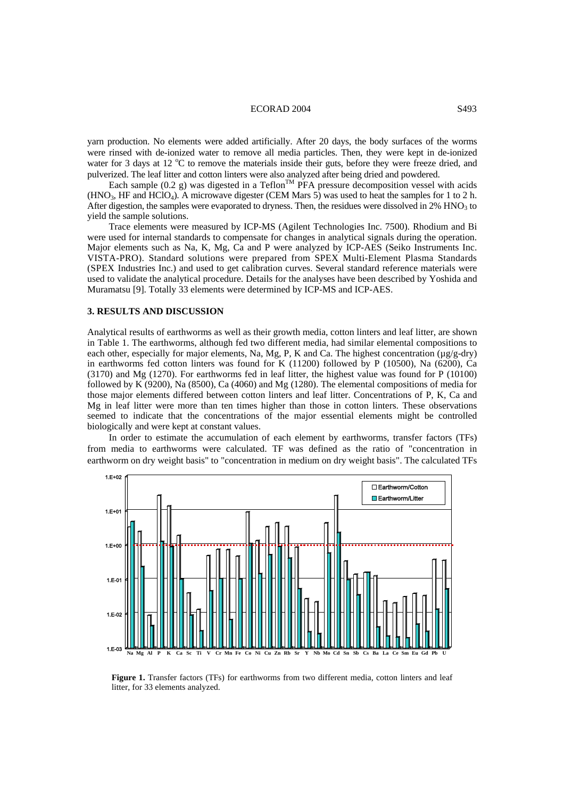## ECORAD 2004 S493

yarn production. No elements were added artificially. After 20 days, the body surfaces of the worms were rinsed with de-ionized water to remove all media particles. Then, they were kept in de-ionized water for 3 days at 12 °C to remove the materials inside their guts, before they were freeze dried, and pulverized. The leaf litter and cotton linters were also analyzed after being dried and powdered.

Each sample (0.2 g) was digested in a Teflon<sup>TM</sup> PFA pressure decomposition vessel with acids (HNO<sub>3</sub>, HF and HClO<sub>4</sub>). A microwave digester (CEM Mars 5) was used to heat the samples for 1 to 2 h. After digestion, the samples were evaporated to dryness. Then, the residues were dissolved in 2%  $HNO<sub>3</sub>$  to yield the sample solutions.

Trace elements were measured by ICP-MS (Agilent Technologies Inc. 7500). Rhodium and Bi were used for internal standards to compensate for changes in analytical signals during the operation. Major elements such as Na, K, Mg, Ca and P were analyzed by ICP-AES (Seiko Instruments Inc. VISTA-PRO). Standard solutions were prepared from SPEX Multi-Element Plasma Standards (SPEX Industries Inc.) and used to get calibration curves. Several standard reference materials were used to validate the analytical procedure. Details for the analyses have been described by Yoshida and Muramatsu [9]. Totally 33 elements were determined by ICP-MS and ICP-AES.

#### **3. RESULTS AND DISCUSSION**

Analytical results of earthworms as well as their growth media, cotton linters and leaf litter, are shown in Table 1. The earthworms, although fed two different media, had similar elemental compositions to each other, especially for major elements, Na, Mg, P, K and Ca. The highest concentration ( $\mu g/g-dry$ ) in earthworms fed cotton linters was found for K (11200) followed by P (10500), Na (6200), Ca (3170) and Mg (1270). For earthworms fed in leaf litter, the highest value was found for P (10100) followed by K (9200), Na (8500), Ca (4060) and Mg (1280). The elemental compositions of media for those major elements differed between cotton linters and leaf litter. Concentrations of P, K, Ca and Mg in leaf litter were more than ten times higher than those in cotton linters. These observations seemed to indicate that the concentrations of the major essential elements might be controlled biologically and were kept at constant values.

In order to estimate the accumulation of each element by earthworms, transfer factors (TFs) from media to earthworms were calculated. TF was defined as the ratio of "concentration in earthworm on dry weight basis" to "concentration in medium on dry weight basis". The calculated TFs



Figure 1. Transfer factors (TFs) for earthworms from two different media, cotton linters and leaf litter, for 33 elements analyzed.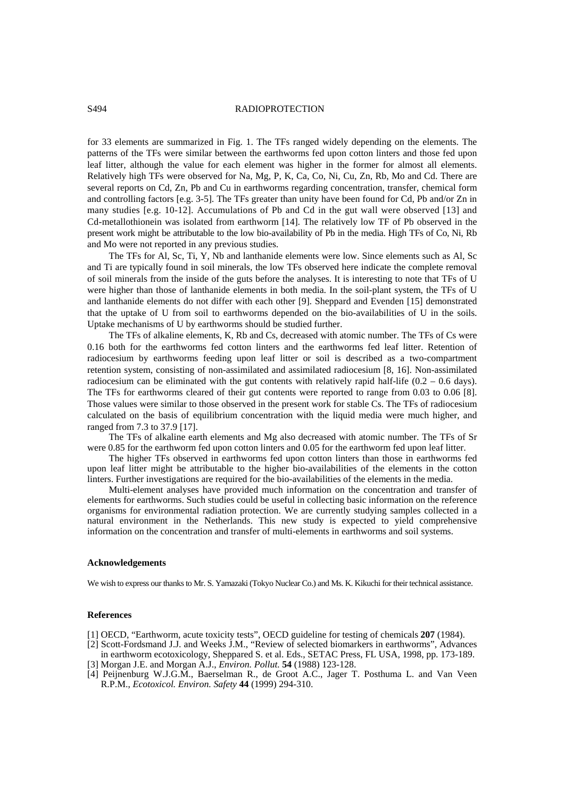## S494 RADIOPROTECTION

for 33 elements are summarized in Fig. 1. The TFs ranged widely depending on the elements. The patterns of the TFs were similar between the earthworms fed upon cotton linters and those fed upon leaf litter, although the value for each element was higher in the former for almost all elements. Relatively high TFs were observed for Na, Mg, P, K, Ca, Co, Ni, Cu, Zn, Rb, Mo and Cd. There are several reports on Cd, Zn, Pb and Cu in earthworms regarding concentration, transfer, chemical form and controlling factors [e.g. 3-5]. The TFs greater than unity have been found for Cd, Pb and/or Zn in many studies [e.g. 10-12]. Accumulations of Pb and Cd in the gut wall were observed [13] and Cd-metallothionein was isolated from earthworm [14]. The relatively low TF of Pb observed in the present work might be attributable to the low bio-availability of Pb in the media. High TFs of Co, Ni, Rb and Mo were not reported in any previous studies.

The TFs for Al, Sc, Ti, Y, Nb and lanthanide elements were low. Since elements such as Al, Sc and Ti are typically found in soil minerals, the low TFs observed here indicate the complete removal of soil minerals from the inside of the guts before the analyses. It is interesting to note that TFs of U were higher than those of lanthanide elements in both media. In the soil-plant system, the TFs of U and lanthanide elements do not differ with each other [9]. Sheppard and Evenden [15] demonstrated that the uptake of U from soil to earthworms depended on the bio-availabilities of U in the soils. Uptake mechanisms of U by earthworms should be studied further.

The TFs of alkaline elements, K, Rb and Cs, decreased with atomic number. The TFs of Cs were 0.16 both for the earthworms fed cotton linters and the earthworms fed leaf litter. Retention of radiocesium by earthworms feeding upon leaf litter or soil is described as a two-compartment retention system, consisting of non-assimilated and assimilated radiocesium [8, 16]. Non-assimilated radiocesium can be eliminated with the gut contents with relatively rapid half-life  $(0.2 - 0.6 \text{ days})$ . The TFs for earthworms cleared of their gut contents were reported to range from 0.03 to 0.06 [8]. Those values were similar to those observed in the present work for stable Cs. The TFs of radiocesium calculated on the basis of equilibrium concentration with the liquid media were much higher, and ranged from 7.3 to 37.9 [17].

The TFs of alkaline earth elements and Mg also decreased with atomic number. The TFs of Sr were 0.85 for the earthworm fed upon cotton linters and 0.05 for the earthworm fed upon leaf litter.

The higher TFs observed in earthworms fed upon cotton linters than those in earthworms fed upon leaf litter might be attributable to the higher bio-availabilities of the elements in the cotton linters. Further investigations are required for the bio-availabilities of the elements in the media.

Multi-element analyses have provided much information on the concentration and transfer of elements for earthworms. Such studies could be useful in collecting basic information on the reference organisms for environmental radiation protection. We are currently studying samples collected in a natural environment in the Netherlands. This new study is expected to yield comprehensive information on the concentration and transfer of multi-elements in earthworms and soil systems.

#### **Acknowledgements**

We wish to express our thanks to Mr. S. Yamazaki (Tokyo Nuclear Co.) and Ms. K. Kikuchi for their technical assistance.

#### **References**

- [1] OECD, "Earthworm, acute toxicity tests", OECD guideline for testing of chemicals **207** (1984).
- [2] Scott-Fordsmand J.J. and Weeks J.M., "Review of selected biomarkers in earthworms", Advances in earthworm ecotoxicology, Sheppared S. et al. Eds., SETAC Press, FL USA, 1998, pp. 173-189.
- [3] Morgan J.E. and Morgan A.J., *Environ. Pollut.* **54** (1988) 123-128.
- [4] Peijnenburg W.J.G.M., Baerselman R., de Groot A.C., Jager T. Posthuma L. and Van Veen R.P.M., *Ecotoxicol. Environ. Safety* **44** (1999) 294-310.